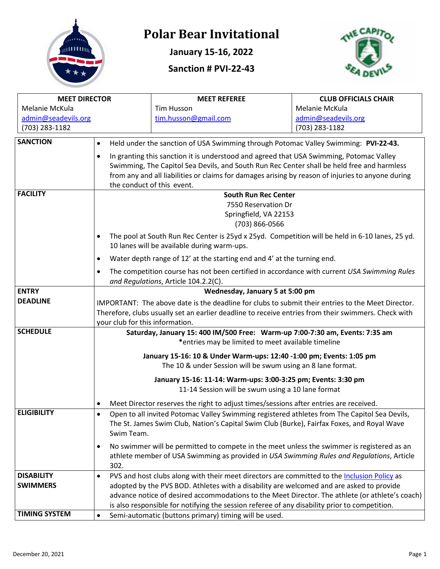

# **Polar Bear Invitational**

**January 15-16, 2022**

**Sanction # PVI-22-43**



| <b>MEET DIRECTOR</b> |                                                                                                                                                             | <b>MEET REFEREE</b>                                                                               | <b>CLUB OFFICIALS CHAIR</b> |  |
|----------------------|-------------------------------------------------------------------------------------------------------------------------------------------------------------|---------------------------------------------------------------------------------------------------|-----------------------------|--|
| Melanie McKula       |                                                                                                                                                             | <b>Tim Husson</b>                                                                                 | Melanie McKula              |  |
| admin@seadevils.org  |                                                                                                                                                             | tim.husson@gmail.com                                                                              | admin@seadevils.org         |  |
| (703) 283-1182       | (703) 283-1182                                                                                                                                              |                                                                                                   |                             |  |
| <b>SANCTION</b>      | Held under the sanction of USA Swimming through Potomac Valley Swimming: PVI-22-43.<br>$\bullet$                                                            |                                                                                                   |                             |  |
|                      |                                                                                                                                                             |                                                                                                   |                             |  |
|                      | $\bullet$                                                                                                                                                   | In granting this sanction it is understood and agreed that USA Swimming, Potomac Valley           |                             |  |
|                      |                                                                                                                                                             | Swimming, The Capitol Sea Devils, and South Run Rec Center shall be held free and harmless        |                             |  |
|                      |                                                                                                                                                             | from any and all liabilities or claims for damages arising by reason of injuries to anyone during |                             |  |
| <b>FACILITY</b>      | the conduct of this event.<br><b>South Run Rec Center</b>                                                                                                   |                                                                                                   |                             |  |
|                      | 7550 Reservation Dr                                                                                                                                         |                                                                                                   |                             |  |
|                      | Springfield, VA 22153                                                                                                                                       |                                                                                                   |                             |  |
|                      | (703) 866-0566                                                                                                                                              |                                                                                                   |                             |  |
|                      |                                                                                                                                                             |                                                                                                   |                             |  |
|                      | The pool at South Run Rec Center is 25yd x 25yd. Competition will be held in 6-10 lanes, 25 yd.<br>$\bullet$<br>10 lanes will be available during warm-ups. |                                                                                                   |                             |  |
|                      | $\bullet$                                                                                                                                                   | Water depth range of 12' at the starting end and 4' at the turning end.                           |                             |  |
|                      | The competition course has not been certified in accordance with current USA Swimming Rules<br>$\bullet$                                                    |                                                                                                   |                             |  |
|                      | and Regulations, Article 104.2.2(C).                                                                                                                        |                                                                                                   |                             |  |
| <b>ENTRY</b>         | Wednesday, January 5 at 5:00 pm                                                                                                                             |                                                                                                   |                             |  |
| <b>DEADLINE</b>      | IMPORTANT: The above date is the deadline for clubs to submit their entries to the Meet Director.                                                           |                                                                                                   |                             |  |
|                      | Therefore, clubs usually set an earlier deadline to receive entries from their swimmers. Check with                                                         |                                                                                                   |                             |  |
|                      | your club for this information.                                                                                                                             |                                                                                                   |                             |  |
| <b>SCHEDULE</b>      | Saturday, January 15: 400 IM/500 Free: Warm-up 7:00-7:30 am, Events: 7:35 am                                                                                |                                                                                                   |                             |  |
|                      | *entries may be limited to meet available timeline                                                                                                          |                                                                                                   |                             |  |
|                      | January 15-16: 10 & Under Warm-ups: 12:40 -1:00 pm; Events: 1:05 pm                                                                                         |                                                                                                   |                             |  |
|                      | The 10 & under Session will be swum using an 8 lane format.                                                                                                 |                                                                                                   |                             |  |
|                      | January 15-16: 11-14: Warm-ups: 3:00-3:25 pm; Events: 3:30 pm                                                                                               |                                                                                                   |                             |  |
|                      | 11-14 Session will be swum using a 10 lane format                                                                                                           |                                                                                                   |                             |  |
|                      | Meet Director reserves the right to adjust times/sessions after entries are received.<br>٠                                                                  |                                                                                                   |                             |  |
| <b>ELIGIBILITY</b>   | Open to all invited Potomac Valley Swimming registered athletes from The Capitol Sea Devils,<br>$\bullet$                                                   |                                                                                                   |                             |  |
|                      | The St. James Swim Club, Nation's Capital Swim Club (Burke), Fairfax Foxes, and Royal Wave                                                                  |                                                                                                   |                             |  |
|                      | Swim Team.                                                                                                                                                  |                                                                                                   |                             |  |
|                      | $\bullet$                                                                                                                                                   | No swimmer will be permitted to compete in the meet unless the swimmer is registered as an        |                             |  |
|                      |                                                                                                                                                             |                                                                                                   |                             |  |
|                      | athlete member of USA Swimming as provided in USA Swimming Rules and Regulations, Article<br>302.                                                           |                                                                                                   |                             |  |
| <b>DISABILITY</b>    | $\bullet$                                                                                                                                                   | PVS and host clubs along with their meet directors are committed to the Inclusion Policy as       |                             |  |
| <b>SWIMMERS</b>      |                                                                                                                                                             | adopted by the PVS BOD. Athletes with a disability are welcomed and are asked to provide          |                             |  |
|                      |                                                                                                                                                             | advance notice of desired accommodations to the Meet Director. The athlete (or athlete's coach)   |                             |  |
|                      | is also responsible for notifying the session referee of any disability prior to competition.                                                               |                                                                                                   |                             |  |
| <b>TIMING SYSTEM</b> | Semi-automatic (buttons primary) timing will be used.<br>$\bullet$                                                                                          |                                                                                                   |                             |  |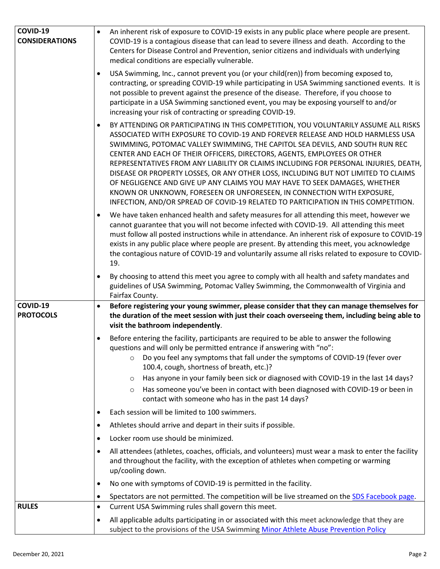| COVID-19<br><b>CONSIDERATIONS</b> | An inherent risk of exposure to COVID-19 exists in any public place where people are present.<br>$\bullet$<br>COVID-19 is a contagious disease that can lead to severe illness and death. According to the<br>Centers for Disease Control and Prevention, senior citizens and individuals with underlying<br>medical conditions are especially vulnerable.                                                                                                                                                                                                                                                                                                                                                                                                                 |
|-----------------------------------|----------------------------------------------------------------------------------------------------------------------------------------------------------------------------------------------------------------------------------------------------------------------------------------------------------------------------------------------------------------------------------------------------------------------------------------------------------------------------------------------------------------------------------------------------------------------------------------------------------------------------------------------------------------------------------------------------------------------------------------------------------------------------|
|                                   | USA Swimming, Inc., cannot prevent you (or your child(ren)) from becoming exposed to,<br>$\bullet$<br>contracting, or spreading COVID-19 while participating in USA Swimming sanctioned events. It is<br>not possible to prevent against the presence of the disease. Therefore, if you choose to<br>participate in a USA Swimming sanctioned event, you may be exposing yourself to and/or<br>increasing your risk of contracting or spreading COVID-19.                                                                                                                                                                                                                                                                                                                  |
|                                   | BY ATTENDING OR PARTICIPATING IN THIS COMPETITION, YOU VOLUNTARILY ASSUME ALL RISKS<br>$\bullet$<br>ASSOCIATED WITH EXPOSURE TO COVID-19 AND FOREVER RELEASE AND HOLD HARMLESS USA<br>SWIMMING, POTOMAC VALLEY SWIMMING, THE CAPITOL SEA DEVILS, AND SOUTH RUN REC<br>CENTER AND EACH OF THEIR OFFICERS, DIRECTORS, AGENTS, EMPLOYEES OR OTHER<br>REPRESENTATIVES FROM ANY LIABILITY OR CLAIMS INCLUDING FOR PERSONAL INJURIES, DEATH,<br>DISEASE OR PROPERTY LOSSES, OR ANY OTHER LOSS, INCLUDING BUT NOT LIMITED TO CLAIMS<br>OF NEGLIGENCE AND GIVE UP ANY CLAIMS YOU MAY HAVE TO SEEK DAMAGES, WHETHER<br>KNOWN OR UNKNOWN, FORESEEN OR UNFORESEEN, IN CONNECTION WITH EXPOSURE,<br>INFECTION, AND/OR SPREAD OF COVID-19 RELATED TO PARTICIPATION IN THIS COMPETITION. |
|                                   | We have taken enhanced health and safety measures for all attending this meet, however we<br>$\bullet$<br>cannot guarantee that you will not become infected with COVID-19. All attending this meet<br>must follow all posted instructions while in attendance. An inherent risk of exposure to COVID-19<br>exists in any public place where people are present. By attending this meet, you acknowledge<br>the contagious nature of COVID-19 and voluntarily assume all risks related to exposure to COVID-<br>19.                                                                                                                                                                                                                                                        |
|                                   | By choosing to attend this meet you agree to comply with all health and safety mandates and<br>$\bullet$<br>guidelines of USA Swimming, Potomac Valley Swimming, the Commonwealth of Virginia and<br>Fairfax County.                                                                                                                                                                                                                                                                                                                                                                                                                                                                                                                                                       |
|                                   |                                                                                                                                                                                                                                                                                                                                                                                                                                                                                                                                                                                                                                                                                                                                                                            |
| COVID-19<br><b>PROTOCOLS</b>      | Before registering your young swimmer, please consider that they can manage themselves for<br>$\bullet$<br>the duration of the meet session with just their coach overseeing them, including being able to<br>visit the bathroom independently.                                                                                                                                                                                                                                                                                                                                                                                                                                                                                                                            |
|                                   | Before entering the facility, participants are required to be able to answer the following<br>$\bullet$<br>questions and will only be permitted entrance if answering with "no":<br>Do you feel any symptoms that fall under the symptoms of COVID-19 (fever over<br>$\circ$<br>100.4, cough, shortness of breath, etc.)?<br>Has anyone in your family been sick or diagnosed with COVID-19 in the last 14 days?<br>$\circ$<br>Has someone you've been in contact with been diagnosed with COVID-19 or been in<br>$\circ$                                                                                                                                                                                                                                                  |
|                                   | contact with someone who has in the past 14 days?                                                                                                                                                                                                                                                                                                                                                                                                                                                                                                                                                                                                                                                                                                                          |
|                                   | Each session will be limited to 100 swimmers.<br>$\bullet$                                                                                                                                                                                                                                                                                                                                                                                                                                                                                                                                                                                                                                                                                                                 |
|                                   | Athletes should arrive and depart in their suits if possible.<br>$\bullet$<br>Locker room use should be minimized.<br>$\bullet$                                                                                                                                                                                                                                                                                                                                                                                                                                                                                                                                                                                                                                            |
|                                   | All attendees (athletes, coaches, officials, and volunteers) must wear a mask to enter the facility<br>$\bullet$<br>and throughout the facility, with the exception of athletes when competing or warming<br>up/cooling down.                                                                                                                                                                                                                                                                                                                                                                                                                                                                                                                                              |
|                                   | No one with symptoms of COVID-19 is permitted in the facility.<br>$\bullet$                                                                                                                                                                                                                                                                                                                                                                                                                                                                                                                                                                                                                                                                                                |
|                                   | Spectators are not permitted. The competition will be live streamed on the SDS Facebook page.<br>$\bullet$                                                                                                                                                                                                                                                                                                                                                                                                                                                                                                                                                                                                                                                                 |
| <b>RULES</b>                      | Current USA Swimming rules shall govern this meet.<br>$\bullet$<br>All applicable adults participating in or associated with this meet acknowledge that they are                                                                                                                                                                                                                                                                                                                                                                                                                                                                                                                                                                                                           |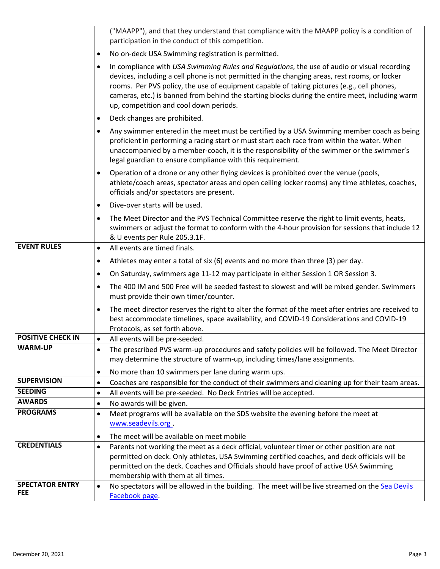|                                      | ("MAAPP"), and that they understand that compliance with the MAAPP policy is a condition of<br>participation in the conduct of this competition.                                                                                                                                                                                                                                                                                                     |
|--------------------------------------|------------------------------------------------------------------------------------------------------------------------------------------------------------------------------------------------------------------------------------------------------------------------------------------------------------------------------------------------------------------------------------------------------------------------------------------------------|
|                                      | No on-deck USA Swimming registration is permitted.<br>$\bullet$                                                                                                                                                                                                                                                                                                                                                                                      |
|                                      | In compliance with USA Swimming Rules and Regulations, the use of audio or visual recording<br>$\bullet$<br>devices, including a cell phone is not permitted in the changing areas, rest rooms, or locker<br>rooms. Per PVS policy, the use of equipment capable of taking pictures (e.g., cell phones,<br>cameras, etc.) is banned from behind the starting blocks during the entire meet, including warm<br>up, competition and cool down periods. |
|                                      | Deck changes are prohibited.<br>٠                                                                                                                                                                                                                                                                                                                                                                                                                    |
|                                      | Any swimmer entered in the meet must be certified by a USA Swimming member coach as being<br>$\bullet$<br>proficient in performing a racing start or must start each race from within the water. When<br>unaccompanied by a member-coach, it is the responsibility of the swimmer or the swimmer's<br>legal guardian to ensure compliance with this requirement.                                                                                     |
|                                      | Operation of a drone or any other flying devices is prohibited over the venue (pools,<br>$\bullet$<br>athlete/coach areas, spectator areas and open ceiling locker rooms) any time athletes, coaches,<br>officials and/or spectators are present.                                                                                                                                                                                                    |
|                                      | Dive-over starts will be used.<br>$\bullet$                                                                                                                                                                                                                                                                                                                                                                                                          |
|                                      | The Meet Director and the PVS Technical Committee reserve the right to limit events, heats,<br>$\bullet$<br>swimmers or adjust the format to conform with the 4-hour provision for sessions that include 12<br>& U events per Rule 205.3.1F.                                                                                                                                                                                                         |
| <b>EVENT RULES</b>                   | All events are timed finals.<br>$\bullet$                                                                                                                                                                                                                                                                                                                                                                                                            |
|                                      | Athletes may enter a total of six (6) events and no more than three (3) per day.<br>٠                                                                                                                                                                                                                                                                                                                                                                |
|                                      | On Saturday, swimmers age 11-12 may participate in either Session 1 OR Session 3.<br>٠                                                                                                                                                                                                                                                                                                                                                               |
|                                      | The 400 IM and 500 Free will be seeded fastest to slowest and will be mixed gender. Swimmers<br>$\bullet$<br>must provide their own timer/counter.                                                                                                                                                                                                                                                                                                   |
|                                      | The meet director reserves the right to alter the format of the meet after entries are received to<br>$\bullet$<br>best accommodate timelines, space availability, and COVID-19 Considerations and COVID-19<br>Protocols, as set forth above.                                                                                                                                                                                                        |
| <b>POSITIVE CHECK IN</b>             | All events will be pre-seeded.<br>$\bullet$                                                                                                                                                                                                                                                                                                                                                                                                          |
| WARM-UP                              | The prescribed PVS warm-up procedures and safety policies will be followed. The Meet Director<br>$\bullet$<br>may determine the structure of warm-up, including times/lane assignments.                                                                                                                                                                                                                                                              |
|                                      | No more than 10 swimmers per lane during warm ups.<br>٠                                                                                                                                                                                                                                                                                                                                                                                              |
| <b>SUPERVISION</b><br><b>SEEDING</b> | Coaches are responsible for the conduct of their swimmers and cleaning up for their team areas.<br>$\bullet$                                                                                                                                                                                                                                                                                                                                         |
| <b>AWARDS</b>                        | All events will be pre-seeded. No Deck Entries will be accepted.<br>$\bullet$<br>No awards will be given.                                                                                                                                                                                                                                                                                                                                            |
| <b>PROGRAMS</b>                      | $\bullet$<br>Meet programs will be available on the SDS website the evening before the meet at<br>$\bullet$                                                                                                                                                                                                                                                                                                                                          |
|                                      | www.seadevils.org                                                                                                                                                                                                                                                                                                                                                                                                                                    |
|                                      | The meet will be available on meet mobile<br>$\bullet$                                                                                                                                                                                                                                                                                                                                                                                               |
| <b>CREDENTIALS</b>                   | Parents not working the meet as a deck official, volunteer timer or other position are not<br>$\bullet$<br>permitted on deck. Only athletes, USA Swimming certified coaches, and deck officials will be<br>permitted on the deck. Coaches and Officials should have proof of active USA Swimming<br>membership with them at all times.                                                                                                               |
| <b>SPECTATOR ENTRY</b>               | No spectators will be allowed in the building. The meet will be live streamed on the Sea Devils<br>$\bullet$                                                                                                                                                                                                                                                                                                                                         |
| <b>FEE</b>                           | Facebook page.                                                                                                                                                                                                                                                                                                                                                                                                                                       |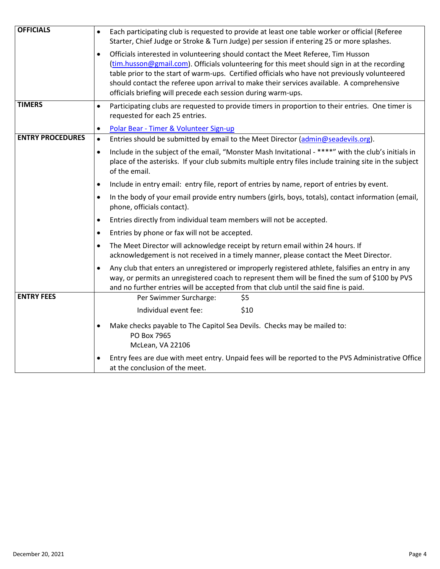| <b>OFFICIALS</b>        | Each participating club is requested to provide at least one table worker or official (Referee<br>$\bullet$<br>Starter, Chief Judge or Stroke & Turn Judge) per session if entering 25 or more splashes.                                                                                                                                                                                                                                                     |  |  |
|-------------------------|--------------------------------------------------------------------------------------------------------------------------------------------------------------------------------------------------------------------------------------------------------------------------------------------------------------------------------------------------------------------------------------------------------------------------------------------------------------|--|--|
|                         | Officials interested in volunteering should contact the Meet Referee, Tim Husson<br>$\bullet$<br>(tim.husson@gmail.com). Officials volunteering for this meet should sign in at the recording<br>table prior to the start of warm-ups. Certified officials who have not previously volunteered<br>should contact the referee upon arrival to make their services available. A comprehensive<br>officials briefing will precede each session during warm-ups. |  |  |
| <b>TIMERS</b>           | Participating clubs are requested to provide timers in proportion to their entries. One timer is<br>$\bullet$<br>requested for each 25 entries.                                                                                                                                                                                                                                                                                                              |  |  |
|                         | Polar Bear - Timer & Volunteer Sign-up<br>$\bullet$                                                                                                                                                                                                                                                                                                                                                                                                          |  |  |
| <b>ENTRY PROCEDURES</b> | Entries should be submitted by email to the Meet Director (admin@seadevils.org).<br>$\bullet$                                                                                                                                                                                                                                                                                                                                                                |  |  |
|                         | Include in the subject of the email, "Monster Mash Invitational - ****" with the club's initials in<br>$\bullet$<br>place of the asterisks. If your club submits multiple entry files include training site in the subject<br>of the email.                                                                                                                                                                                                                  |  |  |
|                         | Include in entry email: entry file, report of entries by name, report of entries by event.<br>$\bullet$                                                                                                                                                                                                                                                                                                                                                      |  |  |
|                         | In the body of your email provide entry numbers (girls, boys, totals), contact information (email,<br>$\bullet$<br>phone, officials contact).                                                                                                                                                                                                                                                                                                                |  |  |
|                         | Entries directly from individual team members will not be accepted.<br>$\bullet$                                                                                                                                                                                                                                                                                                                                                                             |  |  |
|                         | Entries by phone or fax will not be accepted.<br>$\bullet$                                                                                                                                                                                                                                                                                                                                                                                                   |  |  |
|                         | The Meet Director will acknowledge receipt by return email within 24 hours. If<br>$\bullet$<br>acknowledgement is not received in a timely manner, please contact the Meet Director.                                                                                                                                                                                                                                                                         |  |  |
|                         | Any club that enters an unregistered or improperly registered athlete, falsifies an entry in any<br>$\bullet$<br>way, or permits an unregistered coach to represent them will be fined the sum of \$100 by PVS<br>and no further entries will be accepted from that club until the said fine is paid.                                                                                                                                                        |  |  |
| <b>ENTRY FEES</b>       | Per Swimmer Surcharge:<br>\$5                                                                                                                                                                                                                                                                                                                                                                                                                                |  |  |
|                         | Individual event fee:<br>\$10                                                                                                                                                                                                                                                                                                                                                                                                                                |  |  |
|                         | Make checks payable to The Capitol Sea Devils. Checks may be mailed to:<br>$\bullet$<br>PO Box 7965<br>McLean, VA 22106                                                                                                                                                                                                                                                                                                                                      |  |  |
|                         | Entry fees are due with meet entry. Unpaid fees will be reported to the PVS Administrative Office<br>$\bullet$<br>at the conclusion of the meet.                                                                                                                                                                                                                                                                                                             |  |  |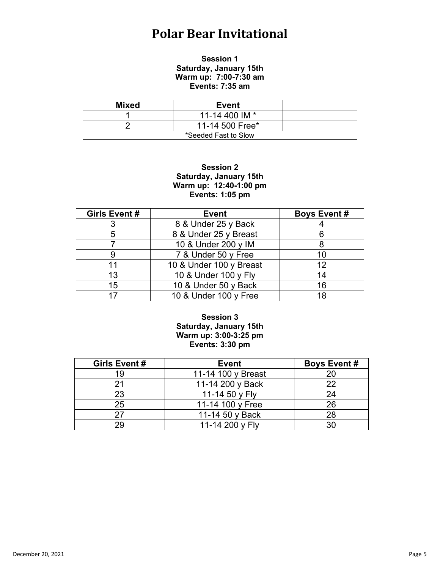## **Polar Bear Invitational**

#### **Session 1 Saturday, January 15th Warm up: 7:00-7:30 am Events: 7:35 am**

| Mixed                | <b>Event</b>    |  |
|----------------------|-----------------|--|
|                      | 11-14 400 IM *  |  |
|                      | 11-14 500 Free* |  |
| *Seeded Fast to Slow |                 |  |

#### **Session 2 Saturday, January 15th Warm up: 12:40-1:00 pm Events: 1:05 pm**

| Girls Event # | <b>Event</b>            | <b>Boys Event #</b> |
|---------------|-------------------------|---------------------|
|               | 8 & Under 25 y Back     |                     |
| 5             | 8 & Under 25 y Breast   |                     |
|               | 10 & Under 200 y IM     |                     |
|               | 7 & Under 50 y Free     | 10                  |
| 11            | 10 & Under 100 y Breast | 12                  |
| 13            | 10 & Under 100 y Fly    | 14                  |
| 15            | 10 & Under 50 y Back    | 16                  |
| 17            | 10 & Under 100 y Free   | 18                  |

#### **Session 3 Saturday, January 15th Warm up: 3:00-3:25 pm Events: 3:30 pm**

| Girls Event # | <b>Event</b>       | <b>Boys Event#</b> |
|---------------|--------------------|--------------------|
| 19            | 11-14 100 y Breast | 20                 |
|               | 11-14 200 y Back   | つつ                 |
| 23            | 11-14 50 y Fly     | 24                 |
| 25            | 11-14 100 y Free   | 26                 |
| 97            | 11-14 50 y Back    | 28                 |
| 29            | 11-14 200 y Fly    |                    |